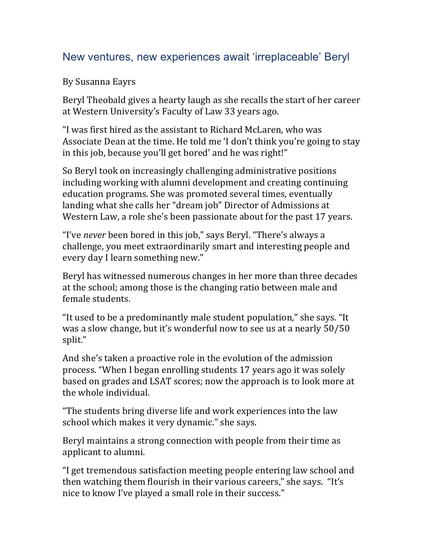## New ventures, new experiences await 'irreplaceable' Beryl

By Susanna Eayrs

Beryl Theobald gives a hearty laugh as she recalls the start of her career at Western University's Faculty of Law 33 years ago.

"I was first hired as the assistant to Richard McLaren, who was Associate Dean at the time. He told me 'I don't think you're going to stay in this job, because you'll get bored' and he was right!"

So Beryl took on increasingly challenging administrative positions including working with alumni development and creating continuing education programs. She was promoted several times, eventually landing what she calls her "dream job" Director of Admissions at Western Law, a role she's been passionate about for the past 17 years.

"I've *never* been bored in this job," says Beryl. "There's always a challenge, you meet extraordinarily smart and interesting people and every day I learn something new."

Beryl has witnessed numerous changes in her more than three decades at the school; among those is the changing ratio between male and female students.

"It used to be a predominantly male student population," she says. "It was a slow change, but it's wonderful now to see us at a nearly 50/50 split."

And she's taken a proactive role in the evolution of the admission process. "When I began enrolling students 17 years ago it was solely based on grades and LSAT scores; now the approach is to look more at the whole individual.

"The students bring diverse life and work experiences into the law school which makes it very dynamic." she says.

Beryl maintains a strong connection with people from their time as applicant to alumni.

"I get tremendous satisfaction meeting people entering law school and then watching them flourish in their various careers," she says. "It's nice to know I've played a small role in their success."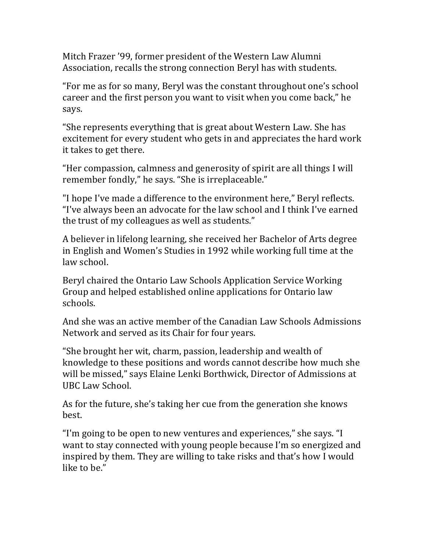Mitch Frazer '99, former president of the Western Law Alumni Association, recalls the strong connection Beryl has with students.

"For me as for so many, Beryl was the constant throughout one's school career and the first person you want to visit when you come back," he says.

"She represents everything that is great about Western Law. She has excitement for every student who gets in and appreciates the hard work it takes to get there.

"Her compassion, calmness and generosity of spirit are all things I will remember fondly," he says. "She is irreplaceable."

"I hope I've made a difference to the environment here," Beryl reflects. "I've always been an advocate for the law school and I think I've earned the trust of my colleagues as well as students."

A believer in lifelong learning, she received her Bachelor of Arts degree in English and Women's Studies in 1992 while working full time at the law school.

Beryl chaired the Ontario Law Schools Application Service Working Group and helped established online applications for Ontario law schools. 

And she was an active member of the Canadian Law Schools Admissions Network and served as its Chair for four years.

"She brought her wit, charm, passion, leadership and wealth of knowledge to these positions and words cannot describe how much she will be missed," says Elaine Lenki Borthwick, Director of Admissions at UBC Law School.

As for the future, she's taking her cue from the generation she knows best.

"I'm going to be open to new ventures and experiences," she says. "I want to stay connected with young people because I'm so energized and inspired by them. They are willing to take risks and that's how I would like to be."